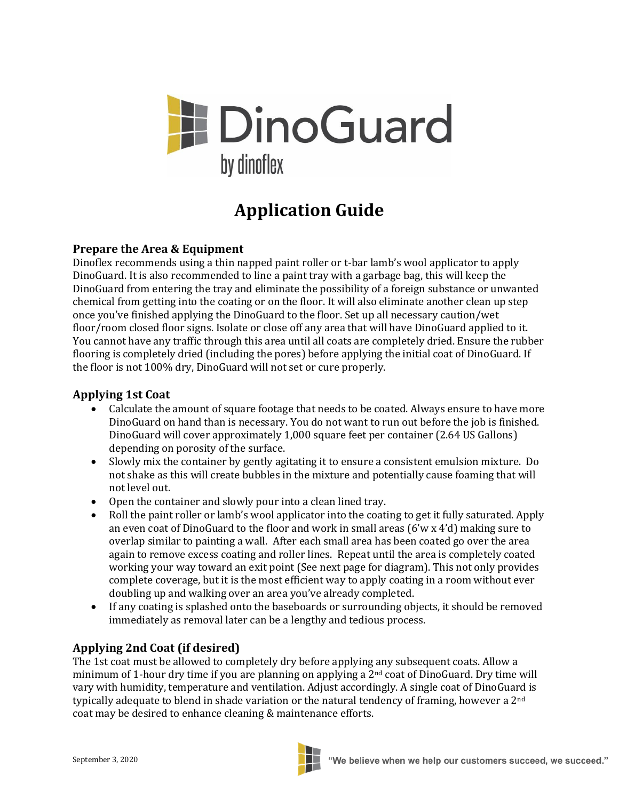

# **Application Guide**

### **Prepare the Area & Equipment**

Dinoflex recommends using a thin napped paint roller or t-bar lamb's wool applicator to apply DinoGuard. It is also recommended to line a paint tray with a garbage bag, this will keep the DinoGuard from entering the tray and eliminate the possibility of a foreign substance or unwanted chemical from getting into the coating or on the floor. It will also eliminate another clean up step once you've finished applying the DinoGuard to the floor. Set up all necessary caution/wet floor/room closed floor signs. Isolate or close off any area that will have DinoGuard applied to it. You cannot have any traffic through this area until all coats are completely dried. Ensure the rubber flooring is completely dried (including the pores) before applying the initial coat of DinoGuard. If the floor is not 100% dry, DinoGuard will not set or cure properly.

#### **Applying 1st Coat**

- Calculate the amount of square footage that needs to be coated. Always ensure to have more DinoGuard on hand than is necessary. You do not want to run out before the job is finished. DinoGuard will cover approximately 1,000 square feet per container (2.64 US Gallons) depending on porosity of the surface.
- Slowly mix the container by gently agitating it to ensure a consistent emulsion mixture. Do not shake as this will create bubbles in the mixture and potentially cause foaming that will not level out.
- Open the container and slowly pour into a clean lined tray.
- Roll the paint roller or lamb's wool applicator into the coating to get it fully saturated. Apply an even coat of DinoGuard to the floor and work in small areas (6'w x 4'd) making sure to overlap similar to painting a wall. After each small area has been coated go over the area again to remove excess coating and roller lines. Repeat until the area is completely coated working your way toward an exit point (See next page for diagram). This not only provides complete coverage, but it is the most efficient way to apply coating in a room without ever doubling up and walking over an area you've already completed.
- If any coating is splashed onto the baseboards or surrounding objects, it should be removed immediately as removal later can be a lengthy and tedious process.

## **Applying 2nd Coat (if desired)**

The 1st coat must be allowed to completely dry before applying any subsequent coats. Allow a minimum of 1-hour dry time if you are planning on applying a 2nd coat of DinoGuard. Dry time will vary with humidity, temperature and ventilation. Adjust accordingly. A single coat of DinoGuard is typically adequate to blend in shade variation or the natural tendency of framing, however a 2<sup>nd</sup> coat may be desired to enhance cleaning & maintenance efforts.